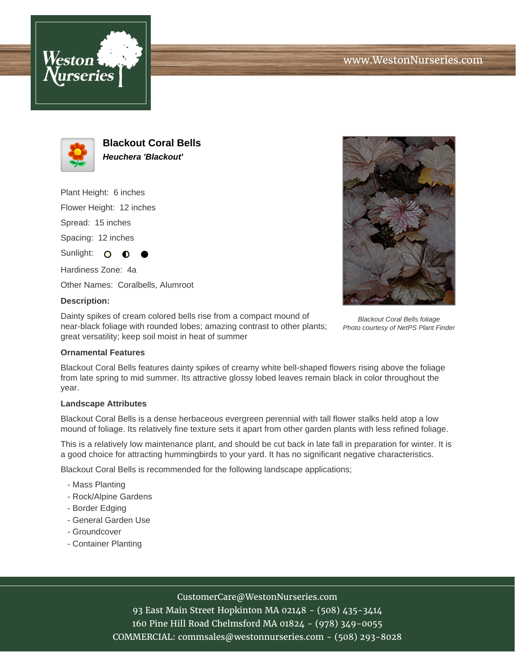



**Blackout Coral Bells Heuchera 'Blackout'**

Plant Height: 6 inches

Flower Height: 12 inches

Spread: 15 inches

Spacing: 12 inches

Sunlight: O

Hardiness Zone: 4a

Other Names: Coralbells, Alumroot

## **Description:**

Dainty spikes of cream colored bells rise from a compact mound of near-black foliage with rounded lobes; amazing contrast to other plants; great versatility; keep soil moist in heat of summer



Blackout Coral Bells foliage Photo courtesy of NetPS Plant Finder

## **Ornamental Features**

Blackout Coral Bells features dainty spikes of creamy white bell-shaped flowers rising above the foliage from late spring to mid summer. Its attractive glossy lobed leaves remain black in color throughout the year.

#### **Landscape Attributes**

Blackout Coral Bells is a dense herbaceous evergreen perennial with tall flower stalks held atop a low mound of foliage. Its relatively fine texture sets it apart from other garden plants with less refined foliage.

This is a relatively low maintenance plant, and should be cut back in late fall in preparation for winter. It is a good choice for attracting hummingbirds to your yard. It has no significant negative characteristics.

Blackout Coral Bells is recommended for the following landscape applications;

- Mass Planting
- Rock/Alpine Gardens
- Border Edging
- General Garden Use
- Groundcover
- Container Planting

## CustomerCare@WestonNurseries.com

93 East Main Street Hopkinton MA 02148 - (508) 435-3414 160 Pine Hill Road Chelmsford MA 01824 - (978) 349-0055 COMMERCIAL: commsales@westonnurseries.com - (508) 293-8028